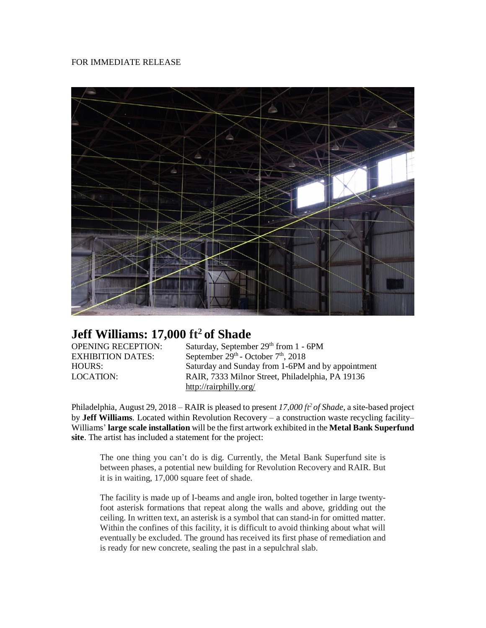## FOR IMMEDIATE RELEASE



## **Jeff Williams: 17,000 ft<sup>2</sup> of Shade**

**EXHIBITION DATES:** 

OPENING RECEPTION: Saturday, September 29th from 1 - 6PM - October 7<sup>th</sup>, 2018 HOURS: Saturday and Sunday from 1-6PM and by appointment LOCATION: RAIR, 7333 Milnor Street, Philadelphia, PA 19136 <http://rairphilly.org/>

Philadelphia, August 29, 2018 – RAIR is pleased to present *17,000 ft<sup>2</sup> of Shade*, a site-based project by **Jeff Williams**. Located within Revolution Recovery – a construction waste recycling facility– Williams' **large scale installation** will be the first artwork exhibited in the **Metal Bank Superfund site**. The artist has included a statement for the project:

The one thing you can't do is dig. Currently, the Metal Bank Superfund site is between phases, a potential new building for Revolution Recovery and RAIR. But it is in waiting, 17,000 square feet of shade.

The facility is made up of I-beams and angle iron, bolted together in large twentyfoot asterisk formations that repeat along the walls and above, gridding out the ceiling. In written text, an asterisk is a symbol that can stand-in for omitted matter. Within the confines of this facility, it is difficult to avoid thinking about what will eventually be excluded. The ground has received its first phase of remediation and is ready for new concrete, sealing the past in a sepulchral slab.